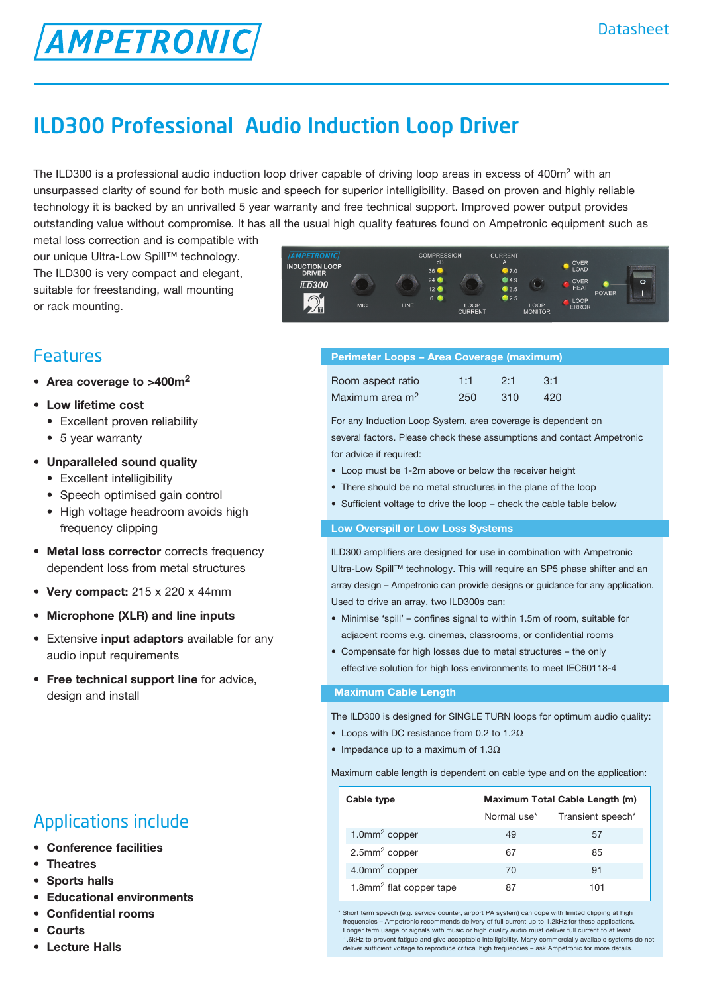# ILD300 Professional Audio Induction Loop Driver

The ILD300 is a professional audio induction loop driver capable of driving loop areas in excess of 400m<sup>2</sup> with an unsurpassed clarity of sound for both music and speech for superior intelligibility. Based on proven and highly reliable technology it is backed by an unrivalled 5 year warranty and free technical support. Improved power output provides outstanding value without compromise. It has all the usual high quality features found on Ampetronic equipment such as

metal loss correction and is compatible with our unique Ultra-Low Spill™ technology. The ILD300 is very compact and elegant, suitable for freestanding, wall mounting or rack mounting.

**AMPETRONIC** 



## Features

- • **Area coverage to >400m2**
- • **Low lifetime cost** 
	- Excellent proven reliability
	- 5 year warranty
- **• Unparalleled sound quality**
	- Excellent intelligibility
	- Speech optimised gain control
	- High voltage headroom avoids high frequency clipping
- **• Metal loss corrector** corrects frequency dependent loss from metal structures
- **• Very compact:** 215 x 220 x 44mm
- **• Microphone (XLR) and line inputs**
- **•**  Extensive **input adaptors** available for any audio input requirements
- **Free technical support line** for advice, design and install

## Applications include

- **• Conference facilities**
- **• Theatres**
- **Sports** halls
- **Educational environments**
- **• Confidential rooms**
- **• Courts**
- **• Lecture Halls**

|  | Perimeter Loops - Area Coverage (maximum) |  |
|--|-------------------------------------------|--|
|  |                                           |  |

| Room aspect ratio           | 1:1 | 2.1  | 3:1 |
|-----------------------------|-----|------|-----|
| Maximum area m <sup>2</sup> | 250 | -310 | 420 |

For any Induction Loop System, area coverage is dependent on several factors. Please check these assumptions and contact Ampetronic for advice if required:

- Loop must be 1-2m above or below the receiver height
- There should be no metal structures in the plane of the loop
- Sufficient voltage to drive the loop check the cable table below

#### **Low Overspill or Low Loss Systems**

ILD300 amplifiers are designed for use in combination with Ampetronic Ultra-Low Spill™ technology. This will require an SP5 phase shifter and an array design – Ampetronic can provide designs or guidance for any application. Used to drive an array, two ILD300s can:

- Minimise 'spill' confines signal to within 1.5m of room, suitable for adjacent rooms e.g. cinemas, classrooms, or confidential rooms
- • Compensate for high losses due to metal structures the only effective solution for high loss environments to meet IEC60118-4

#### **Maximum Cable Length**

The ILD300 is designed for SINGLE TURN loops for optimum audio quality:

- Loops with DC resistance from 0.2 to 1.2 $\Omega$
- Impedance up to a maximum of  $1.3\Omega$

Maximum cable length is dependent on cable type and on the application:

| Cable type                          | Maximum Total Cable Length (m) |                   |
|-------------------------------------|--------------------------------|-------------------|
|                                     | Normal use*                    | Transient speech* |
| 1.0 $mm2$ copper                    | 49                             | 57                |
| $2.5$ mm <sup>2</sup> copper        | 67                             | 85                |
| $4.0$ mm <sup>2</sup> copper        | 70                             | 91                |
| 1.8mm <sup>2</sup> flat copper tape | 87                             | 101               |

\* Short term speech (e.g. service counter, airport PA system) can cope with limited clipping at high frequencies – Ampetronic recommends delivery of full current up to 1.2kHz for these applications. Longer term usage or signals with music or high quality audio must deliver full current to at least 1.6kHz to prevent fatigue and give acceptable intelligibility. Many commercially available systems do not deliver sufficient voltage to reproduce critical high frequencies – ask Ampetronic for more details.